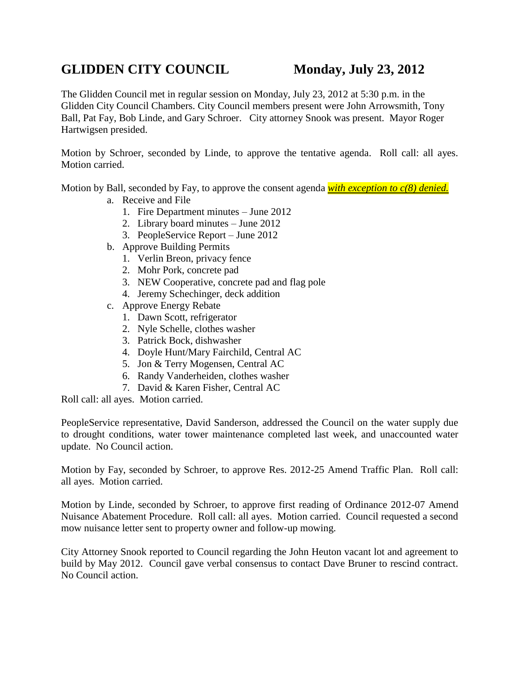## GLIDDEN CITY COUNCIL Monday, July 23, 2012

The Glidden Council met in regular session on Monday, July 23, 2012 at 5:30 p.m. in the Glidden City Council Chambers. City Council members present were John Arrowsmith, Tony Ball, Pat Fay, Bob Linde, and Gary Schroer. City attorney Snook was present. Mayor Roger Hartwigsen presided.

Motion by Schroer, seconded by Linde, to approve the tentative agenda. Roll call: all ayes. Motion carried.

Motion by Ball, seconded by Fay, to approve the consent agenda *with exception to c(8) denied.*

- a. Receive and File
	- 1. Fire Department minutes June 2012
	- 2. Library board minutes June 2012
	- 3. PeopleService Report June 2012
- b. Approve Building Permits
	- 1. Verlin Breon, privacy fence
	- 2. Mohr Pork, concrete pad
	- 3. NEW Cooperative, concrete pad and flag pole
	- 4. Jeremy Schechinger, deck addition
- c. Approve Energy Rebate
	- 1. Dawn Scott, refrigerator
	- 2. Nyle Schelle, clothes washer
	- 3. Patrick Bock, dishwasher
	- 4. Doyle Hunt/Mary Fairchild, Central AC
	- 5. Jon & Terry Mogensen, Central AC
	- 6. Randy Vanderheiden, clothes washer
	- 7. David & Karen Fisher, Central AC

Roll call: all ayes. Motion carried.

PeopleService representative, David Sanderson, addressed the Council on the water supply due to drought conditions, water tower maintenance completed last week, and unaccounted water update. No Council action.

Motion by Fay, seconded by Schroer, to approve Res. 2012-25 Amend Traffic Plan. Roll call: all ayes. Motion carried.

Motion by Linde, seconded by Schroer, to approve first reading of Ordinance 2012-07 Amend Nuisance Abatement Procedure. Roll call: all ayes. Motion carried. Council requested a second mow nuisance letter sent to property owner and follow-up mowing.

City Attorney Snook reported to Council regarding the John Heuton vacant lot and agreement to build by May 2012. Council gave verbal consensus to contact Dave Bruner to rescind contract. No Council action.